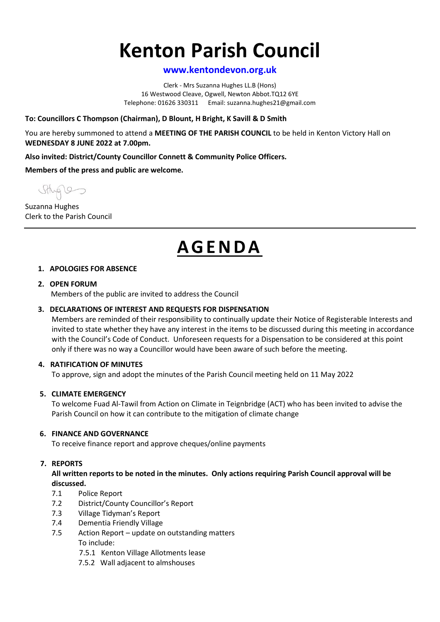# **Kenton Parish Council**

## **www.kentondevon.org.uk**

Clerk - Mrs Suzanna Hughes LL.B (Hons) 16 Westwood Cleave, Ogwell, Newton Abbot.TQ12 6YE Telephone: 01626 330311 Email: suzanna.hughes21@gmail.com

## **To: Councillors C Thompson (Chairman), D Blount, H Bright, K Savill & D Smith**

You are hereby summoned to attend a **MEETING OF THE PARISH COUNCIL** to be held in Kenton Victory Hall on **WEDNESDAY 8 JUNE 2022 at 7.00pm.**

**Also invited: District/County Councillor Connett & Community Police Officers.**

**Members of the press and public are welcome.**

Suzanna Hughes Clerk to the Parish Council

## **AG E N D A**

#### **1. APOLOGIES FOR ABSENCE**

#### **2. OPEN FORUM**

Members of the public are invited to address the Council

#### **3. DECLARATIONS OF INTEREST AND REQUESTS FOR DISPENSATION**

Members are reminded of their responsibility to continually update their Notice of Registerable Interests and invited to state whether they have any interest in the items to be discussed during this meeting in accordance with the Council's Code of Conduct. Unforeseen requests for a Dispensation to be considered at this point only if there was no way a Councillor would have been aware of such before the meeting.

#### **4. RATIFICATION OF MINUTES**

To approve, sign and adopt the minutes of the Parish Council meeting held on 11 May 2022

## **5. CLIMATE EMERGENCY**

To welcome Fuad Al-Tawil from Action on Climate in Teignbridge (ACT) who has been invited to advise the Parish Council on how it can contribute to the mitigation of climate change

#### **6. FINANCE AND GOVERNANCE**

To receive finance report and approve cheques/online payments

## **7. REPORTS**

**All written reports to be noted in the minutes. Only actions requiring Parish Council approval will be discussed.**

- 7.1 Police Report
- 7.2 District/County Councillor's Report
- 7.3 Village Tidyman's Report
- 7.4 Dementia Friendly Village
- 7.5 Action Report update on outstanding matters To include:
	- 7.5.1 Kenton Village Allotments lease
	- 7.5.2 Wall adjacent to almshouses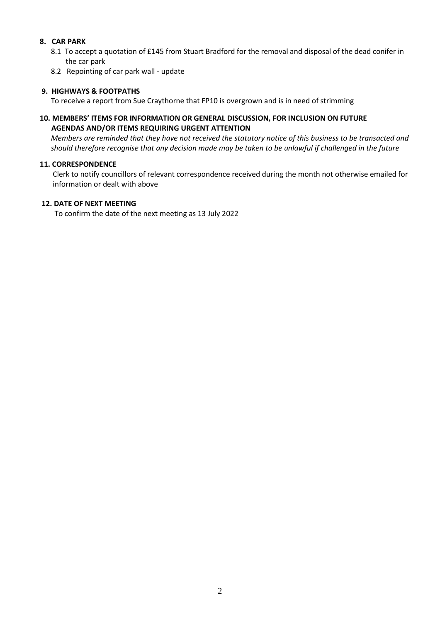## **8. CAR PARK**

- 8.1 To accept a quotation of £145 from Stuart Bradford for the removal and disposal of the dead conifer in the car park
- 8.2 Repointing of car park wall update

## **9. HIGHWAYS & FOOTPATHS**

To receive a report from Sue Craythorne that FP10 is overgrown and is in need of strimming

## **10. MEMBERS' ITEMS FOR INFORMATION OR GENERAL DISCUSSION, FOR INCLUSION ON FUTURE AGENDAS AND/OR ITEMS REQUIRING URGENT ATTENTION**

 *Members are reminded that they have not received the statutory notice of this business to be transacted and should therefore recognise that any decision made may be taken to be unlawful if challenged in the future*

## **11. CORRESPONDENCE**

 Clerk to notify councillors of relevant correspondence received during the month not otherwise emailed for information or dealt with above

#### **12. DATE OF NEXT MEETING**

To confirm the date of the next meeting as 13 July 2022